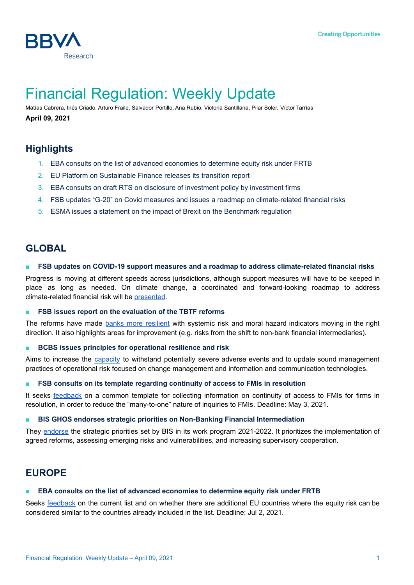

# Financial Regulation: Weekly Update

Matías Cabrera, Inés Criado, Arturo Fraile, Salvador Portillo, Ana Rubio, Victoria Santillana, Pilar Soler, Víctor Tarrías **April 09, 2021**

# **Highlights**

- 1. EBA consults on the list of advanced economies to determine equity risk under FRTB
- 2. EU Platform on Sustainable Finance releases its transition report
- 3. EBA consults on draft RTS on disclosure of investment policy by investment firms
- 4. FSB updates "G-20" on Covid measures and issues a roadmap on climate-related financial risks
- 5. ESMA issues a statement on the impact of Brexit on the Benchmark regulation

# **GLOBAL**

#### ■ **FSB updates on COVID-19 support measures and a roadmap to address climate-related financial risks**

Progress is moving at different speeds across jurisdictions, although support measures will have to be keeped in place as long as needed. On climate change, a coordinated and forward-looking roadmap to address climate-related financial risk will be [presented.](https://www.fsb.org/2021/04/fsb-chair-updates-g20-on-covid-19-support-measures-and-a-roadmap-to-address-climate-related-financial-risks/)

#### ■ **FSB issues report on the evaluation of the TBTF reforms**

The reforms have made banks more [resilient](https://www.fsb.org/2021/03/fsb-publishes-final-report-of-the-evaluation-oftoo-big-to-fail-reforms-for-banks/) with systemic risk and moral hazard indicators moving in the right direction. It also highlights areas for improvement (e.g. risks from the shift to non-bank financial intermediaries).

#### ■ **BCBS issues principles for operational resilience and risk**

Aims to increase the [capacity](https://www.bis.org/press/p210331a.htm) to withstand potentially severe adverse events and to update sound management practices of operational risk focused on change management and information and communication technologies.

#### ■ **FSB consults on its template regarding continuity of access to FMIs in resolution**

It seeks [feedback](https://www.fsb.org/2021/04/fsb-seeks-stakeholders-feedback-on-their-experience-with-the-common-template-for-gathering-information-about-on-continuity-of-access-to-financial-market-infrastructures-fmis-for-firms-in-re/) on a common template for collecting information on continuity of access to FMIs for firms in resolution, in order to reduce the "many-to-one" nature of inquiries to FMIs. Deadline: May 3, 2021.

#### ■ **BIS GHOS endorses strategic priorities on Non-Banking Financial Intermediation**

They [endorse](https://www.bis.org/press/p210331.htm) the strategic priorities set by BIS in its work program 2021-2022. It prioritizes the implementation of agreed reforms, assessing emerging risks and vulnerabilities, and increasing supervisory cooperation.

# **EUROPE**

#### ■ **EBA consults on the list of advanced economies to determine equity risk under FRTB**

Seeks [feedback](https://www.eba.europa.eu/eba-consults-list-advanced-economies-determine-equity-risk-under-new-market-risk-regime) on the current list and on whether there are additional EU countries where the equity risk can be considered similar to the countries already included in the list. Deadline: Jul 2, 2021.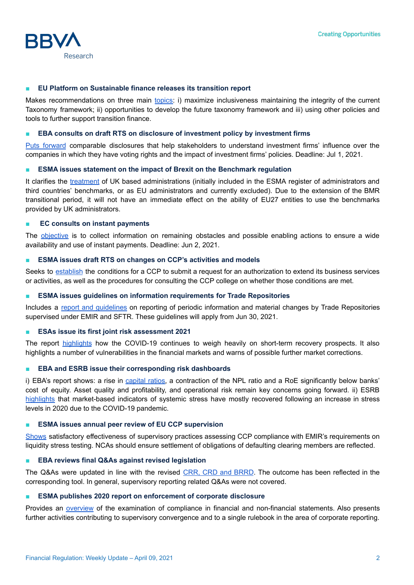

#### ■ **EU Platform on Sustainable finance releases its transition report**

Makes recommendations on three main [topics:](https://ec.europa.eu/info/sites/info/files/business_economy_euro/banking_and_finance/documents/210319-eu-platform-transition-finance-report_en.pdf) i) maximize inclusiveness maintaining the integrity of the current Taxonomy framework; ii) opportunities to develop the future taxonomy framework and iii) using other policies and tools to further support transition finance.

#### ■ **EBA consults on draft RTS on disclosure of investment policy by investment firms**

Puts [forward](https://www.eba.europa.eu/calendar/consultation-draft-rts-disclosure-investment-policy-investment-firms) comparable disclosures that help stakeholders to understand investment firms' influence over the companies in which they have voting rights and the impact of investment firms' policies. Deadline: Jul 1, 2021.

#### ■ **ESMA issues statement on the impact of Brexit on the Benchmark regulation**

It clarifies the [treatment](https://www.esma.europa.eu/sites/default/files/library/esma80_-187-881_bmr_brexit_statement_updated.pdf) of UK based administrations (initially included in the ESMA register of administrators and third countries' benchmarks, or as EU administrators and currently excluded). Due to the extension of the BMR transitional period, it will not have an immediate effect on the ability of EU27 entities to use the benchmarks provided by UK administrators.

#### ■ **EC consults on instant payments**

The [objective](https://ec.europa.eu/info/consultations/finance-2021-instant-payments-targeted_en) is to collect information on remaining obstacles and possible enabling actions to ensure a wide availability and use of instant payments. Deadline: Jun 2, 2021.

#### ■ **ESMA issues draft RTS on changes on CCP's activities and models**

Seeks to [establish](https://www.esma.europa.eu/press-news/esma-news/esma-publishes-draft-regulatory-technical-standards-changes-ccps%E2%80%99-activities) the conditions for a CCP to submit a request for an authorization to extend its business services or activities, as well as the procedures for consulting the CCP college on whether those conditions are met.

#### ■ **ESMA issues guidelines on information requirements for Trade Repositories**

Includes a report and [guidelines](https://www.esma.europa.eu/press-news/esma-news/esma-publishes-guidelines-periodic-information-trade-repositories) on reporting of periodic information and material changes by Trade Repositories supervised under EMIR and SFTR. These guidelines will apply from Jun 30, 2021.

#### ■ **ESAs [issue](https://www.eba.europa.eu/eu-financial-regulators-warn-expected-deterioration-asset-quality) its first joint risk assessment 2021**

The report [highlights](https://www.eba.europa.eu/eu-financial-regulators-warn-expected-deterioration-asset-quality) how the COVID-19 continues to weigh heavily on short-term recovery prospects. It also highlights a number of vulnerabilities in the financial markets and warns of possible further market corrections.

#### ■ **EBA and ESRB issue their corresponding risk dashboards**

i) EBA's report shows: a rise in [capital](https://www.eba.europa.eu/eba-points-rising-share-loans-show-significant-increase-credit-risk-stage-2-loans) ratios, a contraction of the NPL ratio and a RoE significantly below banks' cost of equity. Asset quality and profitability, and operational risk remain key concerns going forward. ii) ESRB [highlights](https://www.esrb.europa.eu/pub/pdf/dashboard/esrb.risk_dashboard210406~8f2090e35d.en.pdf?9c4e43ab79a1581de7db104d9904bddb) that market-based indicators of systemic stress have mostly recovered following an increase in stress levels in 2020 due to the COVID-19 pandemic.

#### ■ **ESMA issues annual peer review of EU CCP supervision**

[Shows](https://www.esma.europa.eu/press-news/esma-news/esma-publishes-annual-peer-review-eu-ccp-supervision) satisfactory effectiveness of supervisory practices assessing CCP compliance with EMIR's requirements on liquidity stress testing. NCAs should ensure settlement of obligations of defaulting clearing members are reflected.

#### ■ **EBA reviews final Q&As against revised legislation**

The Q&As were updated in line with the revised CRR, CRD and [BRRD](https://www.eba.europa.eu/eba-reviews-final-qas-against-revised-legislation). The outcome has been reflected in the corresponding tool. In general, supervisory reporting related Q&As were not covered.

#### ■ **ESMA publishes 2020 report on enforcement of corporate disclosure**

Provides an [overview](https://www.esma.europa.eu/press-news/esma-news/esma-publishes-2020-report-enforcement-corporate-disclosure) of the examination of compliance in financial and non-financial statements. Also presents further activities contributing to supervisory convergence and to a single rulebook in the area of corporate reporting.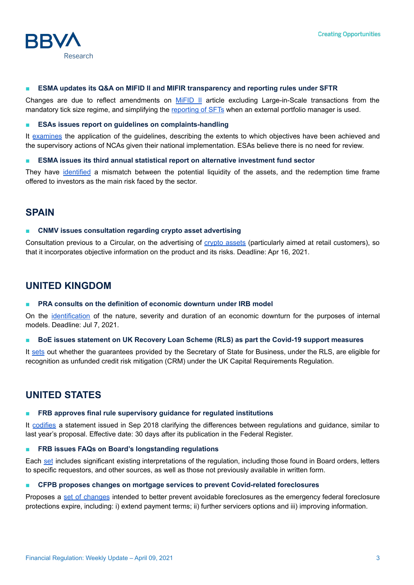

#### ■ **ESMA updates its Q&A on MIFID II and MIFIR transparency and reporting rules under SFTR**

Changes are due to reflect amendments on [MiFID](https://www.esma.europa.eu/press-news/esma-news/esma-updates-its-qas-mifid-ii-and-mifir-transparency-topics-1) II article excluding Large-in-Scale transactions from the mandatory tick size regime, and simplifying the [reporting](https://www.esma.europa.eu/press-news/esma-news/esma-updates-sftr-qas) of SFTs when an external portfolio manager is used.

#### ■ **ESAs issues report on guidelines on complaints-handling**

It [examines](https://www.eba.europa.eu/european-supervisory-authorities-issue-report-application-their-guidelines-complaints-handling) the application of the guidelines, describing the extents to which objectives have been achieved and the supervisory actions of NCAs given their national implementation. ESAs believe there is no need for review.

#### ■ **ESMA issues its third annual statistical report on alternative investment fund sector**

They have [identified](https://www.esma.europa.eu/press-news/esma-news/esma-report-highlights-liquidity-concerns-alternative-investment-funds) a mismatch between the potential liquidity of the assets, and the redemption time frame offered to investors as the main risk faced by the sector.

### **SPAIN**

#### ■ **CNMV issues consultation regarding crypto asset advertising**

Consultation previous to a Circular, on the advertising of crypto [assets](https://www.cnmv.es/portal/verDoc.axd?t=%7Ba8b40d0b-b4d0-4f10-acb1-174bb8726fb6%7D) (particularly aimed at retail customers), so that it incorporates objective information on the product and its risks. Deadline: Apr 16, 2021.

## **UNITED KINGDOM**

#### ■ **PRA consults on the definition of economic downturn under IRB model**

On the [identification](https://www.bankofengland.co.uk/prudential-regulation/publication/2021/april/credit-risk-identification-on-economic-downturn-for-irb-models) of the nature, severity and duration of an economic downturn for the purposes of internal models. Deadline: Jul 7, 2021.

■ **BoE issues statement on UK Recovery Loan Scheme (RLS) as part the Covid-19 support measures**

It [sets](https://www.bankofengland.co.uk/news/2021/april/statement-on-the-regulatory-treatment-of-the-uk-recovery-loan-scheme) out whether the guarantees provided by the Secretary of State for Business, under the RLS, are eligible for recognition as unfunded credit risk mitigation (CRM) under the UK Capital Requirements Regulation.

# **UNITED STATES**

#### ■ **FRB approves final rule supervisory guidance for regulated institutions**

It [codifies](https://www.federalreserve.gov/newsevents/pressreleases/bcreg20210331a.htm) a statement issued in Sep 2018 clarifying the differences between regulations and guidance, similar to last year's proposal. Effective date: 30 days after its publication in the Federal Register.

#### ■ **FRB issues FAQs on Board's longstanding regulations**

Each [set](https://www.federalreserve.gov/newsevents/pressreleases/bcreg20210331b.htm) includes significant existing interpretations of the regulation, including those found in Board orders, letters to specific requestors, and other sources, as well as those not previously available in written form.

#### ■ **CFPB proposes changes on mortgage services to prevent Covid-related foreclosures**

Proposes a set of [changes](https://www.consumerfinance.gov/about-us/newsroom/cfpb-proposes-mortgage-servicing-changes-to-prevent-wave-of-covid-19-foreclosures/) intended to better prevent avoidable foreclosures as the emergency federal foreclosure protections expire, including: i) extend payment terms; ii) further servicers options and iii) improving information.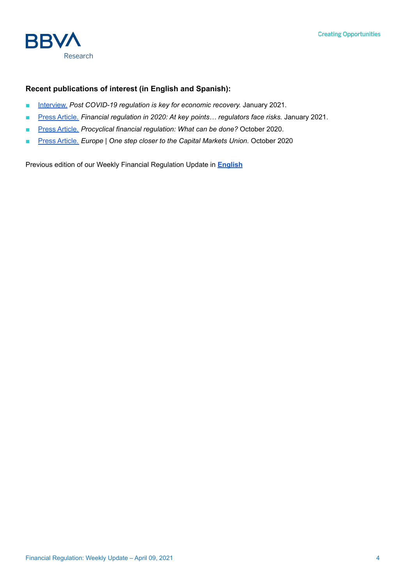

### **Recent publications of interest (in English and Spanish):**

- [Interview.](https://www.bbva.com/es/la-regulacion-pos-covid-es-clave-para-la-recuperacion-economica/) *Post COVID-19 regulation is key for economic recovery.* January 2021*.*
- Press [Article.](https://www.bbva.com/es/opinion/la-regulacion-financiera-en-2020-en-los-momentos-clave-los-reguladores-se-la-juegan/) *Financial regulation in 2020: At key points… regulators face risks.* January 2021.
- Press [Article.](https://www.bbvaresearch.com/en/publicaciones/global-procyclical-financial-regulation-what-can-be-done/?cid=eml:oem:oth:----47207--:::lnkpubl:::20201103::oth:instant:) *Procyclical financial regulation: What can be done?* October 2020.
- **Press [Article.](https://www.bbvaresearch.com/en/publicaciones/europe-one-step-closer-to-the-capital-markets-union/)** *Europe* | One step closer to the Capital Markets Union. October 2020

Previous edition of our Weekly Financial Regulation Update in **[English](https://www.bbvaresearch.com/en/publicaciones/financial-regulation-weekly-update-march-31-2021/)**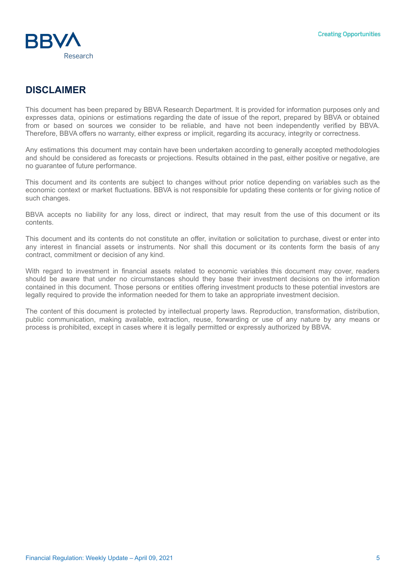

# **DISCLAIMER**

This document has been prepared by BBVA Research Department. It is provided for information purposes only and expresses data, opinions or estimations regarding the date of issue of the report, prepared by BBVA or obtained from or based on sources we consider to be reliable, and have not been independently verified by BBVA. Therefore, BBVA offers no warranty, either express or implicit, regarding its accuracy, integrity or correctness.

Any estimations this document may contain have been undertaken according to generally accepted methodologies and should be considered as forecasts or projections. Results obtained in the past, either positive or negative, are no guarantee of future performance.

This document and its contents are subject to changes without prior notice depending on variables such as the economic context or market fluctuations. BBVA is not responsible for updating these contents or for giving notice of such changes.

BBVA accepts no liability for any loss, direct or indirect, that may result from the use of this document or its contents.

This document and its contents do not constitute an offer, invitation or solicitation to purchase, divest or enter into any interest in financial assets or instruments. Nor shall this document or its contents form the basis of any contract, commitment or decision of any kind.

With regard to investment in financial assets related to economic variables this document may cover, readers should be aware that under no circumstances should they base their investment decisions on the information contained in this document. Those persons or entities offering investment products to these potential investors are legally required to provide the information needed for them to take an appropriate investment decision.

The content of this document is protected by intellectual property laws. Reproduction, transformation, distribution, public communication, making available, extraction, reuse, forwarding or use of any nature by any means or process is prohibited, except in cases where it is legally permitted or expressly authorized by BBVA.